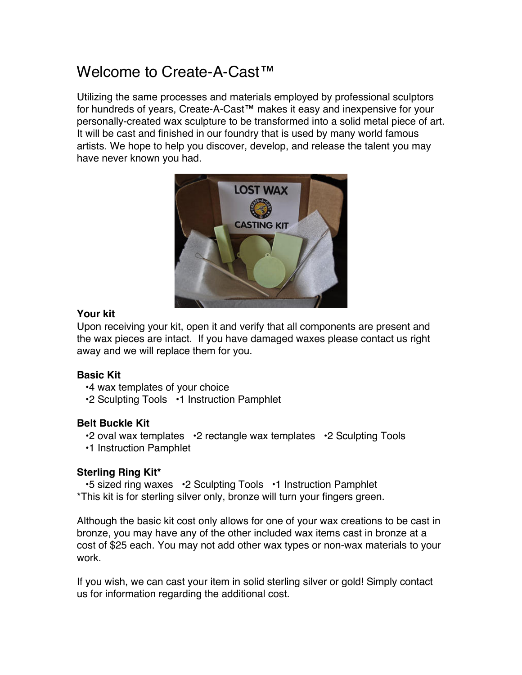# Welcome to Create-A-Cast™

Utilizing the same processes and materials employed by professional sculptors for hundreds of years, Create-A-Cast™ makes it easy and inexpensive for your personally-created wax sculpture to be transformed into a solid metal piece of art. It will be cast and finished in our foundry that is used by many world famous artists. We hope to help you discover, develop, and release the talent you may have never known you had.



### **Your kit**

Upon receiving your kit, open it and verify that all components are present and the wax pieces are intact. If you have damaged waxes please contact us right away and we will replace them for you.

## **Basic Kit**

•4 wax templates of your choice

•2 Sculpting Tools •1 Instruction Pamphlet

## **Belt Buckle Kit**

•2 oval wax templates •2 rectangle wax templates •2 Sculpting Tools

•1 Instruction Pamphlet

# **Sterling Ring Kit\***

•5 sized ring waxes •2 Sculpting Tools •1 Instruction Pamphlet \*This kit is for sterling silver only, bronze will turn your fingers green.

Although the basic kit cost only allows for one of your wax creations to be cast in bronze, you may have any of the other included wax items cast in bronze at a cost of \$25 each. You may not add other wax types or non-wax materials to your work.

If you wish, we can cast your item in solid sterling silver or gold! Simply contact us for information regarding the additional cost.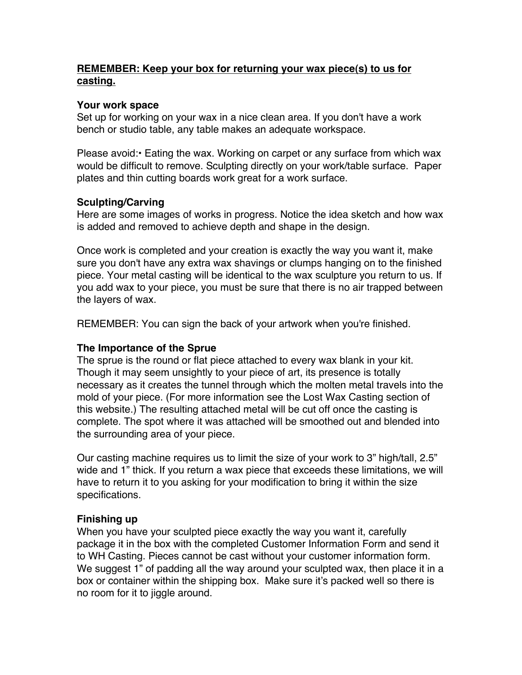## **REMEMBER: Keep your box for returning your wax piece(s) to us for casting.**

#### **Your work space**

Set up for working on your wax in a nice clean area. If you don't have a work bench or studio table, any table makes an adequate workspace.

Please avoid:• Eating the wax. Working on carpet or any surface from which wax would be difficult to remove. Sculpting directly on your work/table surface. Paper plates and thin cutting boards work great for a work surface.

#### **Sculpting/Carving**

Here are some images of works in progress. Notice the idea sketch and how wax is added and removed to achieve depth and shape in the design.

Once work is completed and your creation is exactly the way you want it, make sure you don't have any extra wax shavings or clumps hanging on to the finished piece. Your metal casting will be identical to the wax sculpture you return to us. If you add wax to your piece, you must be sure that there is no air trapped between the layers of wax.

REMEMBER: You can sign the back of your artwork when you're finished.

#### **The Importance of the Sprue**

The sprue is the round or flat piece attached to every wax blank in your kit. Though it may seem unsightly to your piece of art, its presence is totally necessary as it creates the tunnel through which the molten metal travels into the mold of your piece. (For more information see the Lost Wax Casting section of this website.) The resulting attached metal will be cut off once the casting is complete. The spot where it was attached will be smoothed out and blended into the surrounding area of your piece.

Our casting machine requires us to limit the size of your work to 3" high/tall, 2.5" wide and 1" thick. If you return a wax piece that exceeds these limitations, we will have to return it to you asking for your modification to bring it within the size specifications.

#### **Finishing up**

When you have your sculpted piece exactly the way you want it, carefully package it in the box with the completed Customer Information Form and send it to WH Casting. Pieces cannot be cast without your customer information form. We suggest 1" of padding all the way around your sculpted wax, then place it in a box or container within the shipping box. Make sure it's packed well so there is no room for it to jiggle around.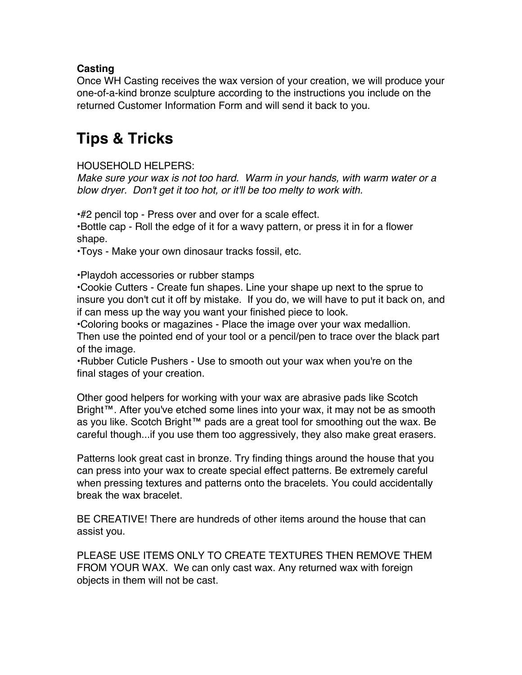## **Casting**

Once WH Casting receives the wax version of your creation, we will produce your one-of-a-kind bronze sculpture according to the instructions you include on the returned Customer Information Form and will send it back to you.

# **Tips & Tricks**

HOUSEHOLD HELPERS:

*Make sure your wax is not too hard. Warm in your hands, with warm water or a blow dryer. Don't get it too hot, or it'll be too melty to work with.*

•#2 pencil top - Press over and over for a scale effect.

•Bottle cap - Roll the edge of it for a wavy pattern, or press it in for a flower shape.

•Toys - Make your own dinosaur tracks fossil, etc.

•Playdoh accessories or rubber stamps

•Cookie Cutters - Create fun shapes. Line your shape up next to the sprue to insure you don't cut it off by mistake. If you do, we will have to put it back on, and if can mess up the way you want your finished piece to look.

•Coloring books or magazines - Place the image over your wax medallion. Then use the pointed end of your tool or a pencil/pen to trace over the black part of the image.

•Rubber Cuticle Pushers - Use to smooth out your wax when you're on the final stages of your creation.

Other good helpers for working with your wax are abrasive pads like Scotch Bright™. After you've etched some lines into your wax, it may not be as smooth as you like. Scotch Bright™ pads are a great tool for smoothing out the wax. Be careful though...if you use them too aggressively, they also make great erasers.

Patterns look great cast in bronze. Try finding things around the house that you can press into your wax to create special effect patterns. Be extremely careful when pressing textures and patterns onto the bracelets. You could accidentally break the wax bracelet.

BE CREATIVE! There are hundreds of other items around the house that can assist you.

PLEASE USE ITEMS ONLY TO CREATE TEXTURES THEN REMOVE THEM FROM YOUR WAX. We can only cast wax. Any returned wax with foreign objects in them will not be cast.